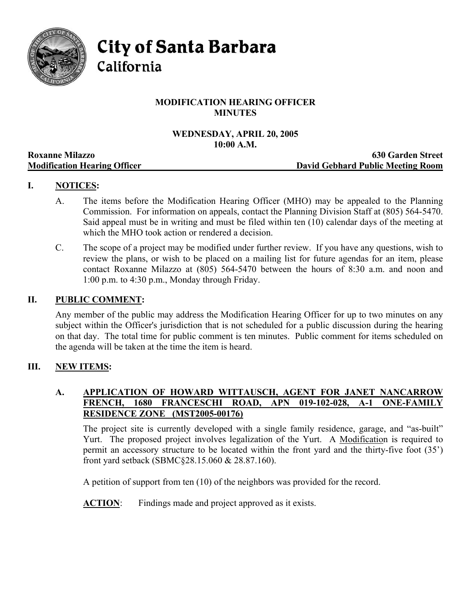

City of Santa Barbara

California

# **MODIFICATION HEARING OFFICER MINUTES**

#### **WEDNESDAY, APRIL 20, 2005 10:00 A.M.**

|                                     | ---------                         |
|-------------------------------------|-----------------------------------|
| <b>Roxanne Milazzo</b>              | <b>630 Garden Street</b>          |
| <b>Modification Hearing Officer</b> | David Gebhard Public Meeting Room |

# **I. NOTICES:**

- A. The items before the Modification Hearing Officer (MHO) may be appealed to the Planning Commission. For information on appeals, contact the Planning Division Staff at (805) 564-5470. Said appeal must be in writing and must be filed within ten (10) calendar days of the meeting at which the MHO took action or rendered a decision.
- C. The scope of a project may be modified under further review. If you have any questions, wish to review the plans, or wish to be placed on a mailing list for future agendas for an item, please contact Roxanne Milazzo at (805) 564-5470 between the hours of 8:30 a.m. and noon and 1:00 p.m. to 4:30 p.m., Monday through Friday.

# **II. PUBLIC COMMENT:**

Any member of the public may address the Modification Hearing Officer for up to two minutes on any subject within the Officer's jurisdiction that is not scheduled for a public discussion during the hearing on that day. The total time for public comment is ten minutes. Public comment for items scheduled on the agenda will be taken at the time the item is heard.

# **III. NEW ITEMS:**

### **A. APPLICATION OF HOWARD WITTAUSCH, AGENT FOR JANET NANCARROW FRENCH, 1680 FRANCESCHI ROAD, APN 019-102-028, A-1 ONE-FAMILY RESIDENCE ZONE (MST2005-00176)**

The project site is currently developed with a single family residence, garage, and "as-built" Yurt. The proposed project involves legalization of the Yurt. A Modification is required to permit an accessory structure to be located within the front yard and the thirty-five foot (35') front yard setback (SBMC§28.15.060 & 28.87.160).

A petition of support from ten (10) of the neighbors was provided for the record.

**ACTION**: Findings made and project approved as it exists.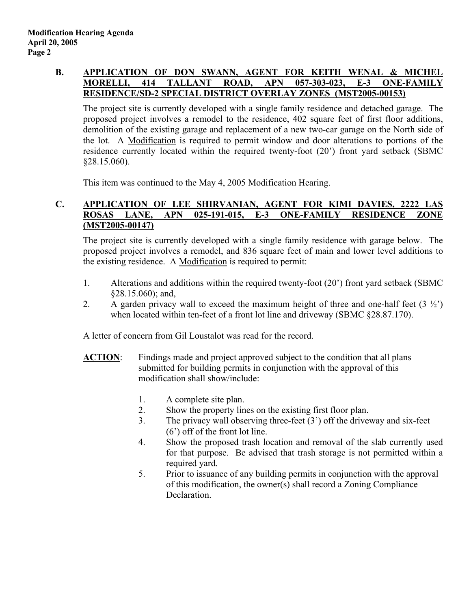# **B. APPLICATION OF DON SWANN, AGENT FOR KEITH WENAL & MICHEL MORELLI, 414 TALLANT ROAD, APN 057-303-023, E-3 ONE-FAMILY RESIDENCE/SD-2 SPECIAL DISTRICT OVERLAY ZONES (MST2005-00153)**

The project site is currently developed with a single family residence and detached garage. The proposed project involves a remodel to the residence, 402 square feet of first floor additions, demolition of the existing garage and replacement of a new two-car garage on the North side of the lot. A Modification is required to permit window and door alterations to portions of the residence currently located within the required twenty-foot (20') front yard setback (SBMC §28.15.060).

This item was continued to the May 4, 2005 Modification Hearing.

### **C. APPLICATION OF LEE SHIRVANIAN, AGENT FOR KIMI DAVIES, 2222 LAS ROSAS LANE, APN 025-191-015, E-3 ONE-FAMILY RESIDENCE ZONE (MST2005-00147)**

The project site is currently developed with a single family residence with garage below. The proposed project involves a remodel, and 836 square feet of main and lower level additions to the existing residence. A Modification is required to permit:

- 1. Alterations and additions within the required twenty-foot (20') front yard setback (SBMC §28.15.060); and,
- 2. A garden privacy wall to exceed the maximum height of three and one-half feet  $(3 \frac{1}{2})$ when located within ten-feet of a front lot line and driveway (SBMC  $\S 28.87.170$ ).

A letter of concern from Gil Loustalot was read for the record.

- **ACTION:** Findings made and project approved subject to the condition that all plans submitted for building permits in conjunction with the approval of this modification shall show/include:
	- 1. A complete site plan.
	- 2. Show the property lines on the existing first floor plan.
	- 3. The privacy wall observing three-feet (3') off the driveway and six-feet (6') off of the front lot line.
	- 4. Show the proposed trash location and removal of the slab currently used for that purpose. Be advised that trash storage is not permitted within a required yard.
	- 5. Prior to issuance of any building permits in conjunction with the approval of this modification, the owner(s) shall record a Zoning Compliance Declaration.